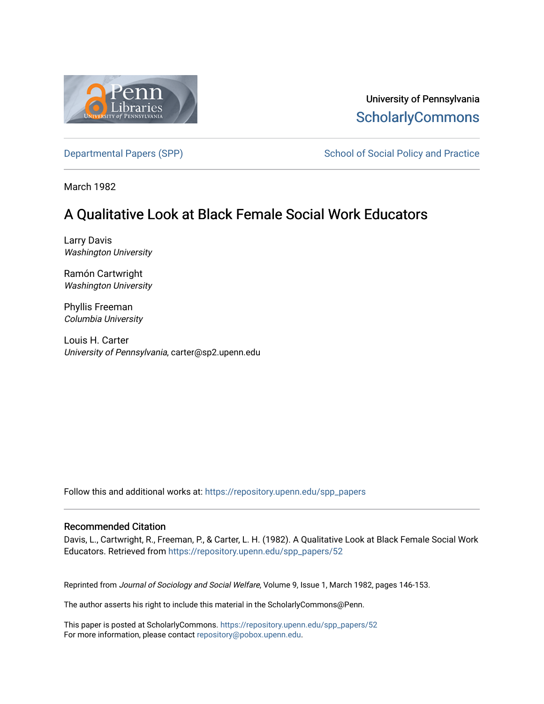

University of Pennsylvania **ScholarlyCommons** 

[Departmental Papers \(SPP\)](https://repository.upenn.edu/spp_papers) School of Social Policy and Practice

March 1982

# A Qualitative Look at Black Female Social Work Educators

Larry Davis Washington University

Ramón Cartwright Washington University

Phyllis Freeman Columbia University

Louis H. Carter University of Pennsylvania, carter@sp2.upenn.edu

Follow this and additional works at: [https://repository.upenn.edu/spp\\_papers](https://repository.upenn.edu/spp_papers?utm_source=repository.upenn.edu%2Fspp_papers%2F52&utm_medium=PDF&utm_campaign=PDFCoverPages) 

### Recommended Citation

Davis, L., Cartwright, R., Freeman, P., & Carter, L. H. (1982). A Qualitative Look at Black Female Social Work Educators. Retrieved from [https://repository.upenn.edu/spp\\_papers/52](https://repository.upenn.edu/spp_papers/52?utm_source=repository.upenn.edu%2Fspp_papers%2F52&utm_medium=PDF&utm_campaign=PDFCoverPages) 

Reprinted from Journal of Sociology and Social Welfare, Volume 9, Issue 1, March 1982, pages 146-153.

The author asserts his right to include this material in the ScholarlyCommons@Penn.

This paper is posted at ScholarlyCommons. [https://repository.upenn.edu/spp\\_papers/52](https://repository.upenn.edu/spp_papers/52)  For more information, please contact [repository@pobox.upenn.edu.](mailto:repository@pobox.upenn.edu)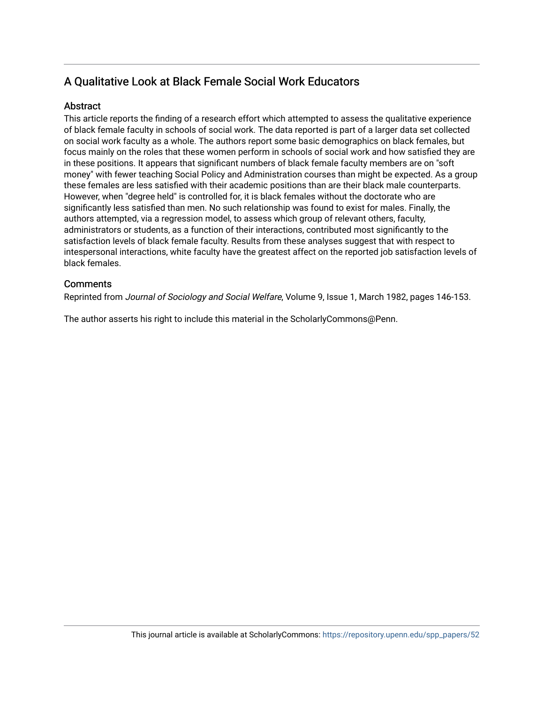## A Qualitative Look at Black Female Social Work Educators

## Abstract

This article reports the finding of a research effort which attempted to assess the qualitative experience of black female faculty in schools of social work. The data reported is part of a larger data set collected on social work faculty as a whole. The authors report some basic demographics on black females, but focus mainly on the roles that these women perform in schools of social work and how satisfied they are in these positions. It appears that significant numbers of black female faculty members are on "soft money" with fewer teaching Social Policy and Administration courses than might be expected. As a group these females are less satisfied with their academic positions than are their black male counterparts. However, when "degree held" is controlled for, it is black females without the doctorate who are significantly less satisfied than men. No such relationship was found to exist for males. Finally, the authors attempted, via a regression model, to assess which group of relevant others, faculty, administrators or students, as a function of their interactions, contributed most significantly to the satisfaction levels of black female faculty. Results from these analyses suggest that with respect to intespersonal interactions, white faculty have the greatest affect on the reported job satisfaction levels of black females.

## **Comments**

Reprinted from Journal of Sociology and Social Welfare, Volume 9, Issue 1, March 1982, pages 146-153.

The author asserts his right to include this material in the ScholarlyCommons@Penn.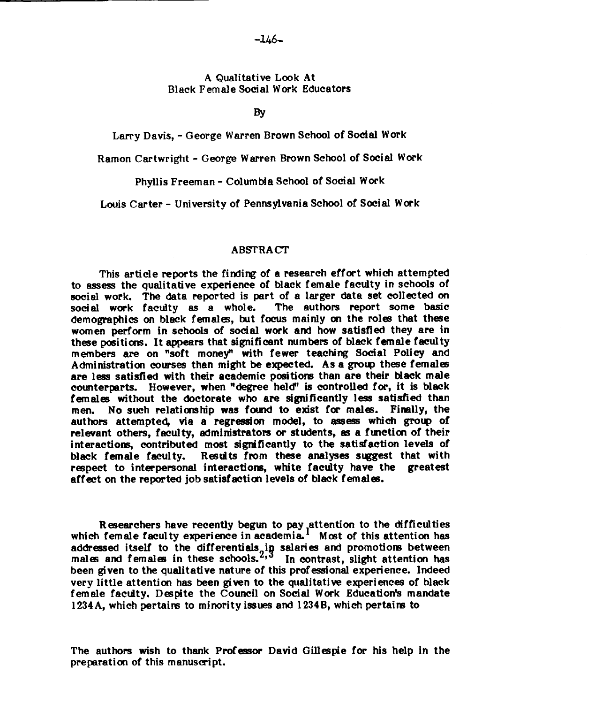#### A Qualitative Look At Black Female Social Work Educators

**By** 

#### Larry Davis, - George Warren Brown School of Social Work

Ramon Cartwright - George Warren Brown School of Social Work

Phyllis Freeman - Columbia School of Social Work

Louis Carter - University of Pennsylvania School of Social Work

#### ABSTRACT

This article reports the finding of a research effort which attempted to **assess** the qualitative experience of black female faculty in schools of social work. The data reported is part of a larger data set collected on social work faculty as a whole. The authors report some basic social work faculty as a whole. demographics on black females, but focus mainly on the roles that these women perform in schools of social work and how satisfied they are in these positions. It appears that significant numbers of black female faculty members are on "soft money" with fewer teaching Social Policy and Administration courses than might be expected. As a **grow** these females are **less** satisfied with their academic positions than are their Mack male counterparts. However, when "degree held" is controlled for, it is black females without the doctorate who are significantly less satisfied than men. No such relationship was found to exist for males. Fimlly, the authors attempted, via a regression model, to assess which **group** of relevant others, faculty, administrators or students, **as** a function of their interactions, contributed most significantly to the satisfaction levels of black female faculty. Results from these analyses suggest that with respect to interpersonal interactions, white faculty have the greatest affect on the reported job satisfaction levels of black females.

Researchers have recently **begun** to pay attention to the difficulties which female faculty experience in academia.<sup>1</sup> Most of this attention has addressed itself to the differentials,in salaries and promotions between. males and females in these schools.<sup>2,3</sup> In contrast, slight attention has been given to the qualitative nature of this professional experience. Indeed very little attention has been given to the qualitative experiences of black female faculty. Despite the Council on Social Work Education's mandate 1234A, which pertains to minority issues and 1234B, which pertains to

The authors wish to thank Professor David Gillespie for his help in the preparation of this manuscript.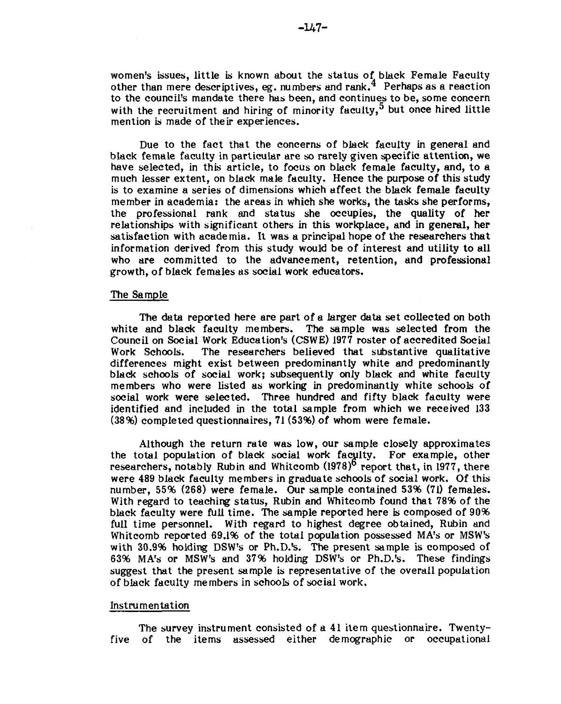women's issues, little is known about the status of black Female Faculty other than mere descriptives, eg. numbers and rank,  $4$  Perhaps as a reaction to the council's mandate there has been, and continues to be, some concern with the recruitment and hiring of minority faculty,<sup>5</sup> but once hired little mention is made of their experiences.

Due to the fact that the concerns of black faculty in general and black female faculty in particular are so rarely given specific attention, we have selected, in this article, to focus on black female faculty, and, to a much lesser extent, on black male faculty. Hence the purpose of this study is to examine a series of dimensions which affect the black female faculty member in academia: the areas in which she works, the tasks she performs, the professional rank and status she occupies, the quality of her relationships with significant others in this workplace, and in general, her satisfaction with academia. It was a principal hope of the researchers that information derived from this study would be of interest and utility to all who are committed to the advancement, retention, and professional growth, of black females as social work educators.

#### The Sample

The data reported here are part of a larger data set collected on both white and black faculty members. The sample was selected from the Council on Social Work Education's (CSWE) 1977 roster of accredited Social The researchers believed that substantive qualitative differences might exist between predominantly white and predominantly black schools of social work; subsequently only black and white faculty members who were listed as working in predominantly white schools of social work were selected. Three hundred and fifty black faculty were identified and included in the total sample from which we received 133 (38%) completed questionnaires, 71 (53%) of whom were female.

Although the return rate was low, our sample closely approximates the total population of black social work faculty. For example, other researchers, notably Rubin and Whitcomb (1978)<sup>6</sup> report that, in 1977, there were 489 black faculty members in graduate schools of social work. Of this number, 55% (268) were female. Our sample contained 53% (71) females. With regard to teaching status, Rubin and Whitcomb found that 78% of the black faculty were full time. The sample reported here is composed of 90% full time personnel. With regard to highest degree obtained, Rubin and Whitcomb reported 69.1% of the total population possessed MA's or MSW's with 30.9% holding DSW's or Ph.D.'s. The present sample is composed of 63% MA's or MSW's and 37% holding DSW's or Ph.D.'s. These findings suggest that the present sample is representative of the overall population of black faculty members in schools of social work.

#### Instrumentation

The survey instrument consisted of a 41 item questionnaire. Twentyfive of the items assessed either demographic or occupational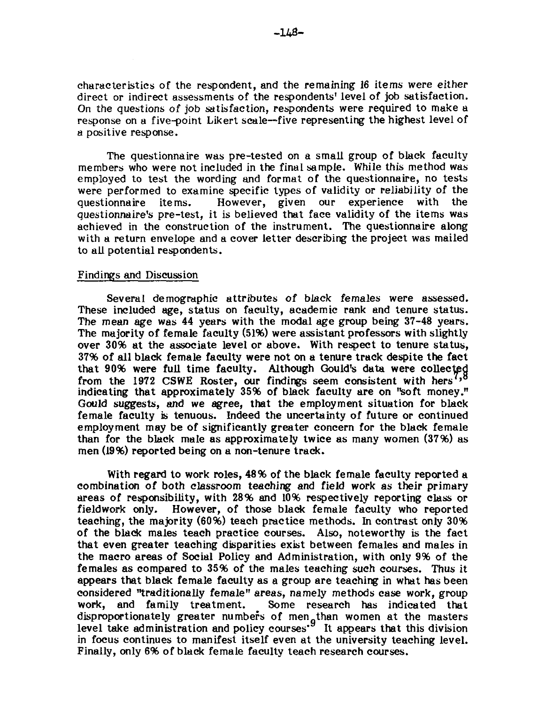characteristics of the respondent, and the remaining 16 items were either direct or indirect assessments of the respondents' level of job satisfaction. On the questions of job satisfaction, respondents were required to make a response on a five-point Likert scale-five representing the highest level of a positive response.

The questionnaire was pre-tested on a small group of black faculty members who were not included in the final sample. While this method was employed to test the wording and format of the questionnaire, no tests were performed to examine specific types of validity or reliability of the questionnaire items. However, given our experience with the However, given our experience with the questionnaire's pre-test, it is believed that face validity of the items was achieved in the construction of the instrument. The questionnaire along with a return envelope and a cover letter describing the project was mailed to all potential respondents.

#### Findings and Discussion

Several demographic attributes of black females were assessed. These included age, status on faculty, academic rank and tenure status. The mean age was 44 years with the modal age group being 37-48 years. The majority of female faculty (51%) were assistant professors with slightly over 30% at the associate level or above. With respect to tenure status, 37% of all black female faculty were not on a tenure track despite the fact that 90% were full time faculty. Although Gould's data were collec from the 1972 CSWE Roster, our findings seem consistent with hers<sup>7</sup>,8</sup> indicating that approximately 35% of black faculty are on "soft money." Gould suggests, and we agree, that the employment situation for black female faculty is tenuous. Indeed the uncertainty of future or continued employment may be of significantly greater concern for the black female than for the black male as approximately twice as many women (37%) as men (19%) reported being on a non-tenure track.

With regard to work roles, 48% of the black female faculty reported a combination of both classroom teaching and field work as their primary areas of responsibility, with 28% and 10% respectively reporting class or fieldwork only. However, of those black female faculty who reported teaching, the majority (60%) teach practice methods. In contrast only 30% of the black males teach practice courses. Also, noteworthy is the fact that even greater teaching disparities exist between females and males in the macro areas of Social Policy and Administration, with only 9% of the females as compared to 35% of the males teaching such courses. Thus it appears that black female faculty as a group are teaching in what has been considered 'Yraditionally female" areas, namely methods case work, group work, and family treatment. Some research has indicated that disproportionately greater numbers of men than women at the masters level take administration and policy courses'<sup>9</sup> It appears that this division in focus continues to manifest itself even at the university teaching level. Finally, only 6% of black female faculty teach research courses.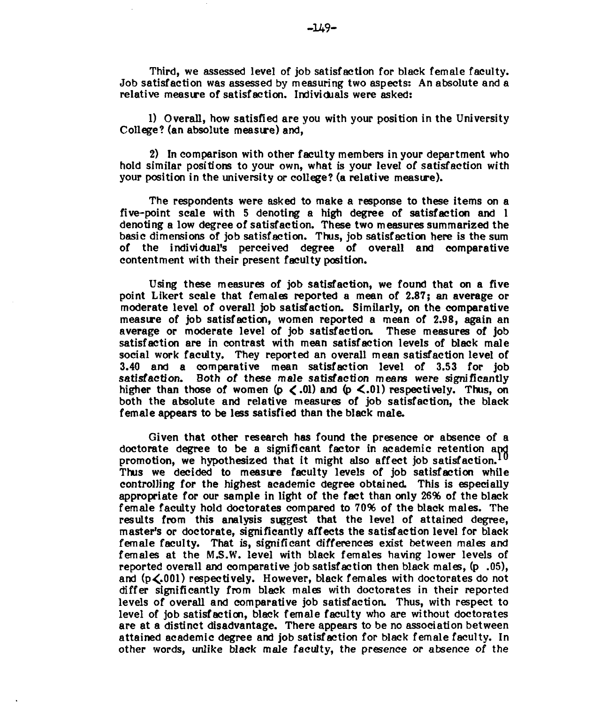Third, we assessed level of job satisfaction for black female faculty. Job satisfaction was assessed by measuring two aspects: An absolute and a relative measure of satisfaction. Individuals were asked:

1) Overall, how satisfied are you with your position in the University College? (an absolute measve) and,

2) In comparison with other faculty members in your department who hold similar positions to your own, what is your level of satisfaction with your position in the university or college? (a relative measure).

The respondents were asked to make a response to these items on a five-point scale with 5 denoting a high degree of satisfaction and 1 denoting a low degree of satisfaction. These two measures summarized the basic dimensions of job satisfaction. Thus, job satisfaction here is the sum of the individual's perceived degree of overall and comparative contentment with their present faculty pasition.

Using these measures of job satisfaction, we found that on a five point Likert scale that females reported a mean of 2.87; an average or moderate level of overall job satisfaction. Similarly, on the comparative measve of job satisfaction, women reported a mean of 2.98, again an average or moderate level of job satisfaction These measures of job satisfaction are in contrast with mean satisfaction levels of black male social work faculty. They reported an overall mean satisfaction level of 3.40 and a comparative mean satisfaction level of 3.53 for job satisfaction. Both of these male satisfaction means were significantly higher than those of women  $(p \lt 0.01)$  and  $(p \lt 0.01)$  respectively. Thus, on both the absolute and relative measures of job satisfaction, the black female appears to be less satisfied than the black male.

Given that other research has found the presence or absence of a doctorate degree to be a significant factor in academic retention and promotion, we hypothesized that it might also affect job satisfaction. Thus we decided to measure faculty levels of job satisfaction while controlling for the highest academic degree obtained This is especially appropriate for our sample in light of the fact than only 26% of the black female faculty hold doctorates compared to 70% of the black males. The results from this analysis suggest that the level of attained degree, master's or doctorate, significantly affects the satisfaction level for black female faculty. That is, significant differences exist between males and females at the **M.S.W.** level with black females having lower levels of reported overall and comparative job satisfaction then black males, (p **.05),**  and (p<.001) respectively. However, black females with doctorates do not differ significantly from black males with doctorates in their reported levels of overall and comparative job satisfaction. Thus, with respect to level of job satisfaction, black f ernale faculty who are without doctorates are at a distinct disadvantage. There appears to be no association between attained academic degree and job satisfaction for black female faculty. In other words, unlike black male faculty, the presence or absence of the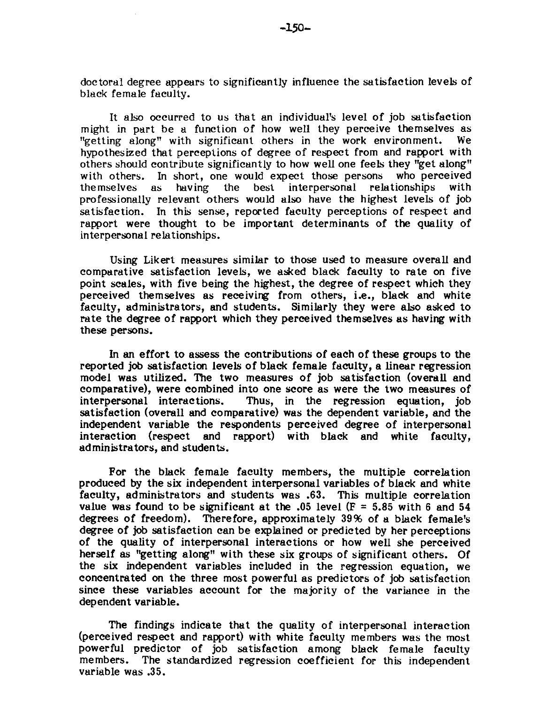doctoral degree appears to significantly influence the satisfaction levels of black female faculty.

It also occurred to us that an individual's level of job satisfaction might in part be a function of how well they perceive themselves as "getting along" with significant others in the work environment. We "getting along" with significant others in the work environment. hypothesized that perceptions of degree of respect from and rapport with others should contribute significantly to how well one feels they "get along" with others. In short, one would expect those persons who perceived themselves as having the best interpersonal relationships with as having the best interpersonal relationships professionally relevant others would also have the highest levels of job satisfaction. In this sense, reported faculty perceptions of respect and rapport were thought to be important determinants of the quality of interpersonal relationships.

Using Likert measures similar to those used to measure overall and comparative satisfaction levels, we asked black faculty to rate on five point scales, with five being the highest, the degree of respect which they perceived themselves as receiving from others, i.e., black and white faculty, administrators, and students. Similarly they were also asked to rate the degree of rapport which they perceived themselves as having with these persons.

In an effort to assess the contributions of each of these groups to the reported job satisfaction levels of black female faculty, a linear regression model was utilized. The two measures of job satisfaction (overall and comparative), were combined into one score as were the two measures of interpersonal interactions. Thus, in the regression equation, job Thus, in the regression equation, job satisfaction (overall and comparative) was the dependent variable, and the independent variable the respondents perceived degree of interpersonal interaction (respect and rapport) with black and white faculty, administrators, and students.

For the black female faculty members, the multiple correlation produced by the six independent interpersonal variables of black and white faculty, administrators and students was **.63.** This multiple correlation value was found to be significant at the  $.05$  level ( $F = 5.85$  with 6 and 54 degrees of freedom). Therefore, approximately **39%** of a black female's degree of **job** satisfaction can be explained or predicted by her perceptions of the quality of interpersonal interactions or how well she perceived herself as "getting along" with these six groups of significant others. Of the six independent variables included in the regression equation, we concentrated on the three most powerful as predictors of job satisfaction since these variables account for the majority of the variance in the dependent variable.

The findings indicate that the quality of interpersonal interaction (perceived respect and rapport) with white faculty members was the most powerful predictor of job satisfaction among black female faculty members. The standardized regression coefficient for this independent variable was **.35.**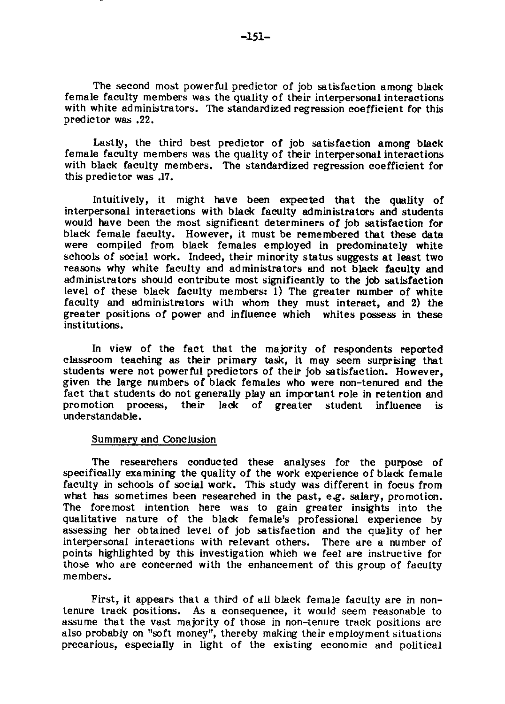The second most powerful predictor of job satisfaction among black female faculty members was the quality of their interpersonal interactions with white administrators. The standardized regression coefficient for this predictor was **.22.** 

Lastly, the third best predictor of job satisfaction among black female faculty members was the quality of their interpersonal interactions with black faculty members. The standardized regression coefficient for this predictor was .17.

Intuitively, it might have been expected that the quality of interpersonal interactions with black faculty administrators and students would have been the most significant determiners of job satisfaction for black female faculty. However, it must be remembered that these data were compiled from black females employed in predominately white schools of social work. Indeed, their minority status suggests at least two reasons why white faculty and administrators and not black faculty and administrators should contribute most significantly to the job satisfaction level of these black faculty members: 1) The greater number of white faculty and administrators with whom they must interact, and 2) the greater positions of power and influence which whites possess in these institutions.

In view of the fact that the majority of respondents reported classroom teaching as their primary task, it may seem surprising that students were not powerful predictors of their job satisfaction. However, given the large numbers of black females who were non-tenured and the fact that students do not generally play an important role in retention and promotion process. their lack of greater student influence is process, their lack of greater student influence is understandable.

#### Summary and Conclusion

The researchers conducted these analyses for the purpose of specifically examining the quality of the work experience of black female faculty in schools of social work. This study was different in focus from what has sometimes been researched in the past, eg. salary, promotion. The foremost intention here was to gain greater insights into the qualitative nature of the black female's professional experience by assessing her obtained level of job satisfaction and the quality of her interpersonal interactions with relevant others. There are a number of points highlighted by this investigation which we feel are instructive for those who are concerned with the enhancement of this group of faculty members.

First, it appears that a third of all black female faculty are in nontenure track positions. As a consequence, it would seem reasonable to assume that the vast majority of those in non-tenure track positions are also probably on "soft money", thereby making their employment situations precarious, especially in light of the existing economic and political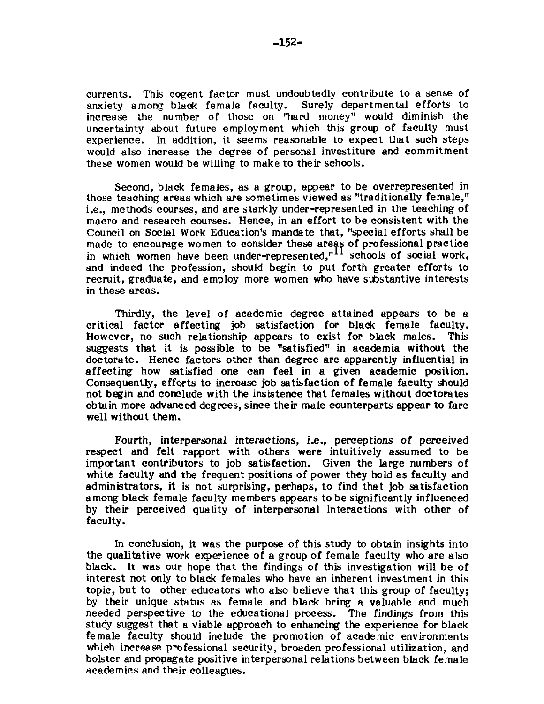currents. This cogent factor must undoubtedly contribute to a sense of anxiety among black female faculty. Surely departmental efforts to increase the number of those on "hard money" would diminish the uncertainty about future employment which this group of faculty must experience. In addition, it seems reasonable to expect that such steps would also increase the degree of personal investiture and commitment these women would be willing to make to their schools.

Second, black females, as a group, appear to be overrepresented in those teaching areas which are sometimes viewed as "traditionally female," i.e., methods courses, and are starkly under-represented in the teaching of macro and research courses. Hence, in an effort to be consistent with the Council on Social Work Education's mandate that, "special efforts shall be made to encourage women to consider these areas of professional practice in which women have been under-represented, $"''$  schools of social work, and indeed the profession, should begin to put forth greater efforts to recruit, graduate, and employ more women who have substantive interests in these areas.

Thirdly, the level of academic degree attained appears to be a critical factor affecting job satisfaction for black female faculty. However, no such relationship appears to exist for black males. suggests that it is possible to be "satisfied" in academia without the doctorate. Hence factors other than degree are apparently influential in affecting how satisfied one can feel in a given academic position. Consequently, efforts to increase job satisfaction of female faculty should not begin and conclude with the insistence that females without doctorates obtain more advanced degrees, since their male counterparts appear to fare well without them.

Fourth, interpersonal interactions, i.e., perceptions of perceived respect and felt rapport with others were intuitively assumed to be important contributors to job satisfaction. Given the large numbers of white faculty and the frequent positions of power they hold as faculty and administrators, it is not surprising, perhaps, to find that job satisfaction among black female faculty members appears to be significantly influenced by their perceived quality of interpersonal interactions with other of faculty.

In conclusion, it was the purpose of this study to obtain insights into the qualitative work experience of a group of female faculty who are also black. It was our hope that the findings of this investigation will be of interest not only to black females who have **an** inherent investment in this topic, but to other educators who also believe that this group of faculty; by their unique status as female and black bring a valuable and much needed perspective to the educational process. The findings from this study suggest that a viable approach to enhancing the experience for black female faculty should include the promotion of academic environments which increase professional security, broaden professional utilization, and bolster and propagate positive interpersonal relations between black female academics and their colleagues.